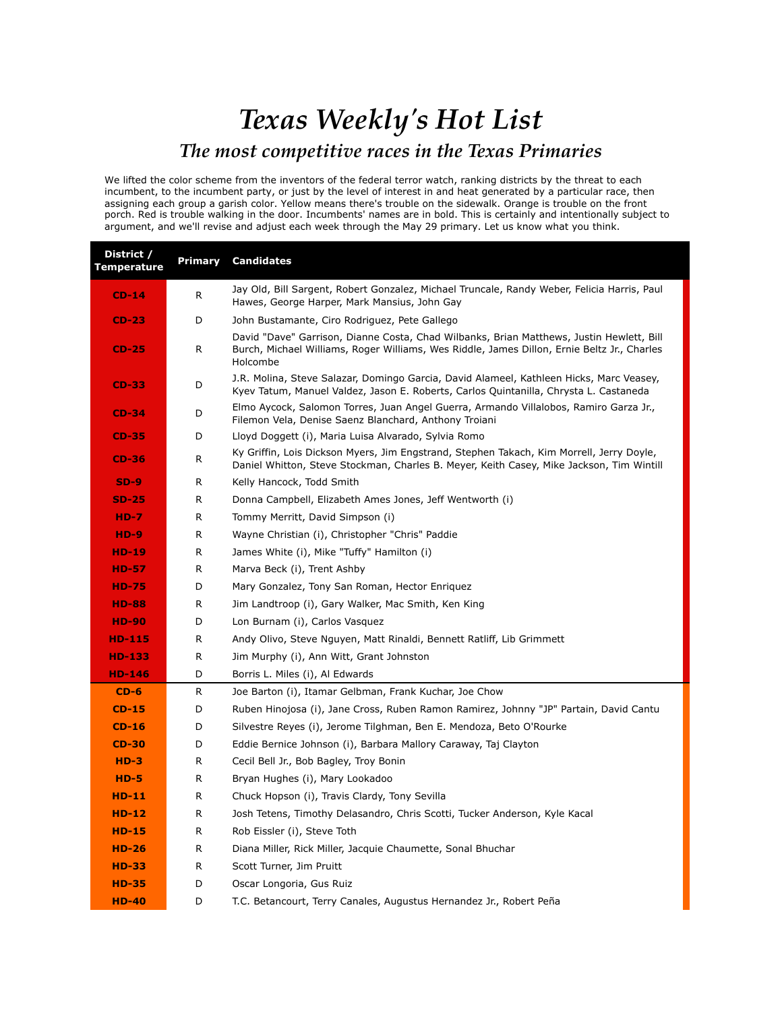## *Texas Weekly's Hot List The most competitive races in the Texas Primaries*

We lifted the color scheme from the inventors of the federal terror watch, ranking districts by the threat to each incumbent, to the incumbent party, or just by the level of interest in and heat generated by a particular race, then assigning each group a garish color. Yellow means there's trouble on the sidewalk. Orange is trouble on the front porch. Red is trouble walking in the door. Incumbents' names are in bold. This is certainly and intentionally subject to argument, and we'll revise and adjust each week through the May 29 primary. Let us know what you think.

| District /<br><b>Temperature</b> | Primary | <b>Candidates</b>                                                                                                                                                                                   |
|----------------------------------|---------|-----------------------------------------------------------------------------------------------------------------------------------------------------------------------------------------------------|
| $CD-14$                          | R       | Jay Old, Bill Sargent, Robert Gonzalez, Michael Truncale, Randy Weber, Felicia Harris, Paul<br>Hawes, George Harper, Mark Mansius, John Gay                                                         |
| $CD-23$                          | D       | John Bustamante, Ciro Rodriguez, Pete Gallego                                                                                                                                                       |
| $CD-25$                          | R       | David "Dave" Garrison, Dianne Costa, Chad Wilbanks, Brian Matthews, Justin Hewlett, Bill<br>Burch, Michael Williams, Roger Williams, Wes Riddle, James Dillon, Ernie Beltz Jr., Charles<br>Holcombe |
| <b>CD-33</b>                     | D       | J.R. Molina, Steve Salazar, Domingo Garcia, David Alameel, Kathleen Hicks, Marc Veasey,<br>Kyev Tatum, Manuel Valdez, Jason E. Roberts, Carlos Quintanilla, Chrysta L. Castaneda                    |
| $CD-34$                          | D       | Elmo Aycock, Salomon Torres, Juan Angel Guerra, Armando Villalobos, Ramiro Garza Jr.,<br>Filemon Vela, Denise Saenz Blanchard, Anthony Troiani                                                      |
| $CD-35$                          | D       | Lloyd Doggett (i), Maria Luisa Alvarado, Sylvia Romo                                                                                                                                                |
| $CD-36$                          | R       | Ky Griffin, Lois Dickson Myers, Jim Engstrand, Stephen Takach, Kim Morrell, Jerry Doyle,<br>Daniel Whitton, Steve Stockman, Charles B. Meyer, Keith Casey, Mike Jackson, Tim Wintill                |
| $SD-9$                           | R       | Kelly Hancock, Todd Smith                                                                                                                                                                           |
| $SD-25$                          | R       | Donna Campbell, Elizabeth Ames Jones, Jeff Wentworth (i)                                                                                                                                            |
| $HD-7$                           | R       | Tommy Merritt, David Simpson (i)                                                                                                                                                                    |
| $HD-9$                           | R       | Wayne Christian (i), Christopher "Chris" Paddie                                                                                                                                                     |
| HD-19                            | R       | James White (i), Mike "Tuffy" Hamilton (i)                                                                                                                                                          |
| <b>HD-57</b>                     | R       | Marva Beck (i), Trent Ashby                                                                                                                                                                         |
| <b>HD-75</b>                     | D       | Mary Gonzalez, Tony San Roman, Hector Enriquez                                                                                                                                                      |
| <b>HD-88</b>                     | R       | Jim Landtroop (i), Gary Walker, Mac Smith, Ken King                                                                                                                                                 |
| <b>HD-90</b>                     | D       | Lon Burnam (i), Carlos Vasquez                                                                                                                                                                      |
| <b>HD-115</b>                    | R       | Andy Olivo, Steve Nguyen, Matt Rinaldi, Bennett Ratliff, Lib Grimmett                                                                                                                               |
| <b>HD-133</b>                    | R       | Jim Murphy (i), Ann Witt, Grant Johnston                                                                                                                                                            |
| <b>HD-146</b>                    | D       | Borris L. Miles (i), Al Edwards                                                                                                                                                                     |
| $CD-6$                           | R       | Joe Barton (i), Itamar Gelbman, Frank Kuchar, Joe Chow                                                                                                                                              |
| $CD-15$                          | D       | Ruben Hinojosa (i), Jane Cross, Ruben Ramon Ramirez, Johnny "JP" Partain, David Cantu                                                                                                               |
| $CD-16$                          | D       | Silvestre Reyes (i), Jerome Tilghman, Ben E. Mendoza, Beto O'Rourke                                                                                                                                 |
| $CD-30$                          | D       | Eddie Bernice Johnson (i), Barbara Mallory Caraway, Taj Clayton                                                                                                                                     |
| $HD-3$                           | R       | Cecil Bell Jr., Bob Bagley, Troy Bonin                                                                                                                                                              |
| $HD-5$                           | R       | Bryan Hughes (i), Mary Lookadoo                                                                                                                                                                     |
| $HD-11$                          | R       | Chuck Hopson (i), Travis Clardy, Tony Sevilla                                                                                                                                                       |
| $HD-12$                          | R       | Josh Tetens, Timothy Delasandro, Chris Scotti, Tucker Anderson, Kyle Kacal                                                                                                                          |
| $HD-15$                          | R       | Rob Eissler (i), Steve Toth                                                                                                                                                                         |
| $HD-26$                          | R       | Diana Miller, Rick Miller, Jacquie Chaumette, Sonal Bhuchar                                                                                                                                         |
| $HD-33$                          | R       | Scott Turner, Jim Pruitt                                                                                                                                                                            |
| <b>HD-35</b>                     | D       | Oscar Longoria, Gus Ruiz                                                                                                                                                                            |
| <b>HD-40</b>                     | D       | T.C. Betancourt, Terry Canales, Augustus Hernandez Jr., Robert Peña                                                                                                                                 |